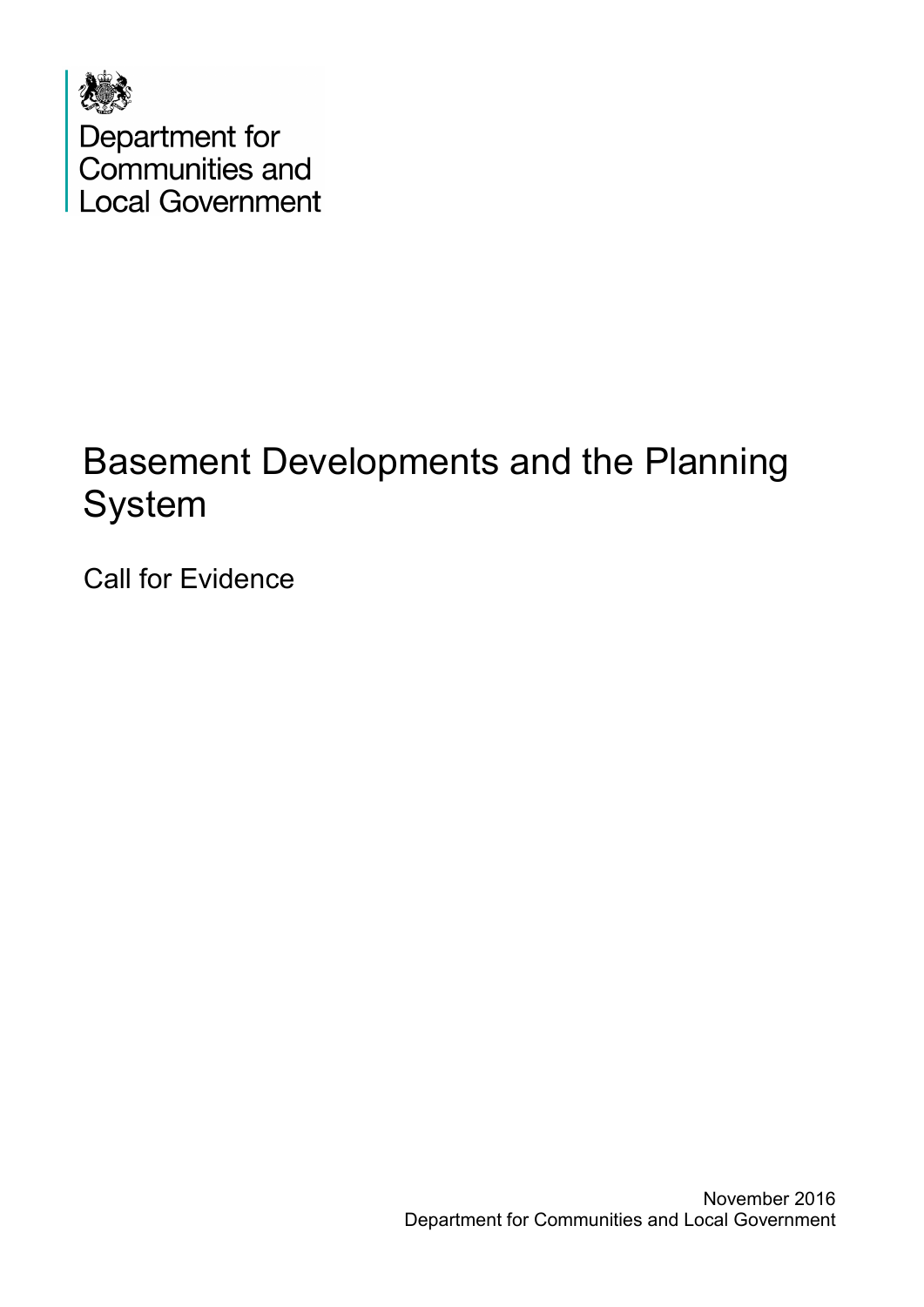

# Basement Developments and the Planning System

Call for Evidence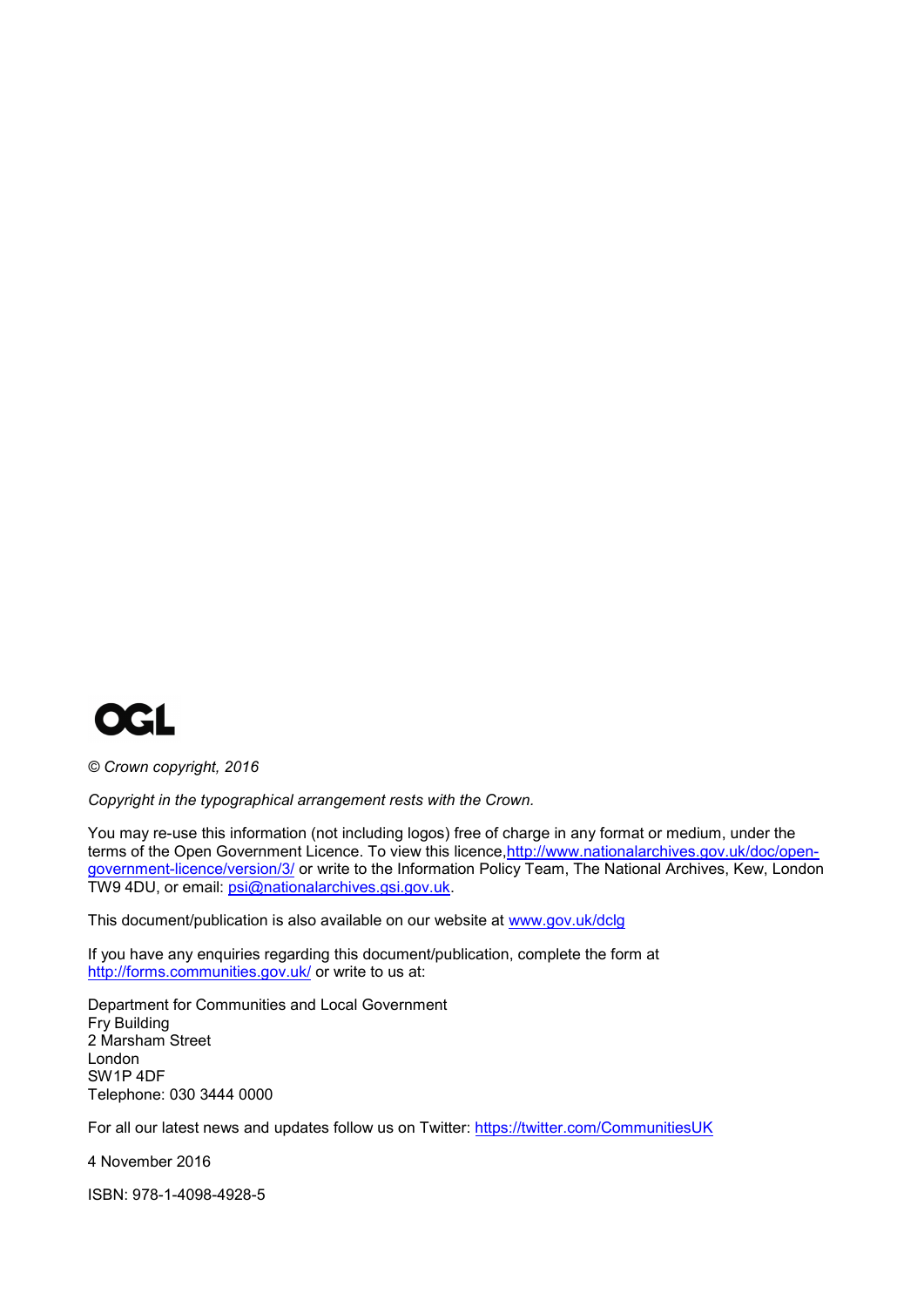

*© Crown copyright, 2016*

*Copyright in the typographical arrangement rests with the Crown.*

You may re-use this information (not including logos) free of charge in any format or medium, under the terms of the Open Government Licence. To view this licence, http://www.nationalarchives.gov.uk/doc/open[government-licence/version/3/](http://www.nationalarchives.gov.uk/doc/open-government-licence/version/3/) or write to the Information Policy Team, The National Archives, Kew, London TW9 4DU, or email: [psi@nationalarchives.gsi.gov.uk.](mailto:psi@nationalarchives.gsi.gov.uk) 

This document/publication is also available on our website at [www.gov.uk/dclg](http://www.gov.uk/dclg)

If you have any enquiries regarding this document/publication, complete the form at <http://forms.communities.gov.uk/> or write to us at:

Department for Communities and Local Government Fry Building 2 Marsham Street London SW1P 4DF Telephone: 030 3444 0000

For all our latest news and updates follow us on Twitter: https://twitter.com/CommunitiesUK

4 November 2016

ISBN: 978-1-4098-4928-5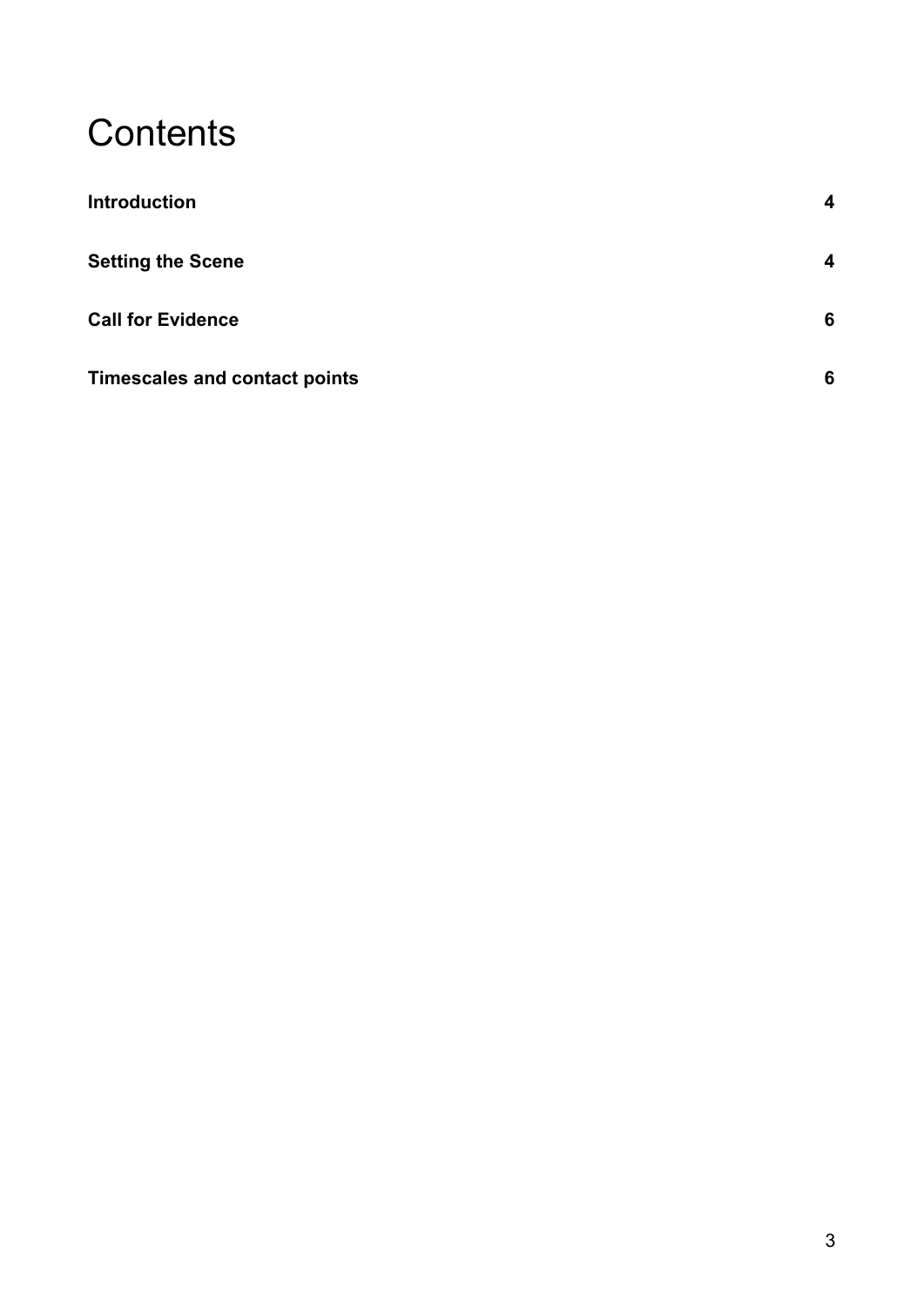### **Contents**

| <b>Introduction</b>                  | 4                       |
|--------------------------------------|-------------------------|
| <b>Setting the Scene</b>             | $\overline{\mathbf{4}}$ |
| <b>Call for Evidence</b>             | 6                       |
| <b>Timescales and contact points</b> | 6                       |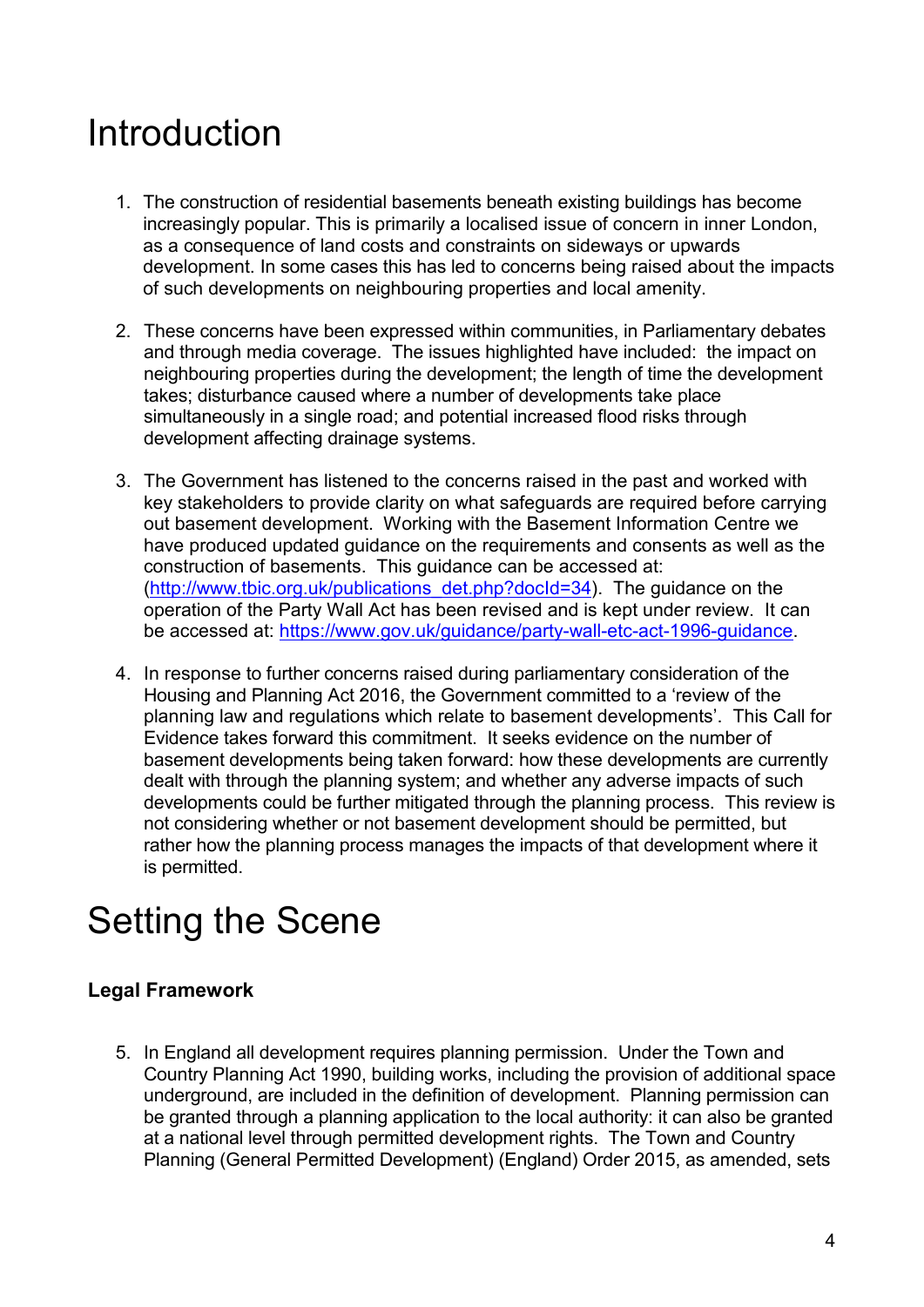### <span id="page-3-0"></span>Introduction

- 1. The construction of residential basements beneath existing buildings has become increasingly popular. This is primarily a localised issue of concern in inner London, as a consequence of land costs and constraints on sideways or upwards development. In some cases this has led to concerns being raised about the impacts of such developments on neighbouring properties and local amenity.
- 2. These concerns have been expressed within communities, in Parliamentary debates and through media coverage. The issues highlighted have included: the impact on neighbouring properties during the development; the length of time the development takes; disturbance caused where a number of developments take place simultaneously in a single road; and potential increased flood risks through development affecting drainage systems.
- 3. The Government has listened to the concerns raised in the past and worked with key stakeholders to provide clarity on what safeguards are required before carrying out basement development. Working with the Basement Information Centre we have produced updated guidance on the requirements and consents as well as the construction of basements. This guidance can be accessed at: [\(http://www.tbic.org.uk/publications\\_det.php?docId=34\)](http://www.tbic.org.uk/publications_det.php?docId=34). The guidance on the operation of the Party Wall Act has been revised and is kept under review. It can be accessed at: [https://www.gov.uk/guidance/party-wall-etc-act-1996-guidance.](https://www.gov.uk/guidance/party-wall-etc-act-1996-guidance)
- 4. In response to further concerns raised during parliamentary consideration of the Housing and Planning Act 2016, the Government committed to a 'review of the planning law and regulations which relate to basement developments'. This Call for Evidence takes forward this commitment. It seeks evidence on the number of basement developments being taken forward: how these developments are currently dealt with through the planning system; and whether any adverse impacts of such developments could be further mitigated through the planning process. This review is not considering whether or not basement development should be permitted, but rather how the planning process manages the impacts of that development where it is permitted.

# <span id="page-3-1"></span>Setting the Scene

#### **Legal Framework**

5. In England all development requires planning permission. Under the Town and Country Planning Act 1990, building works, including the provision of additional space underground, are included in the definition of development. Planning permission can be granted through a planning application to the local authority: it can also be granted at a national level through permitted development rights. The Town and Country Planning (General Permitted Development) (England) Order 2015, as amended, sets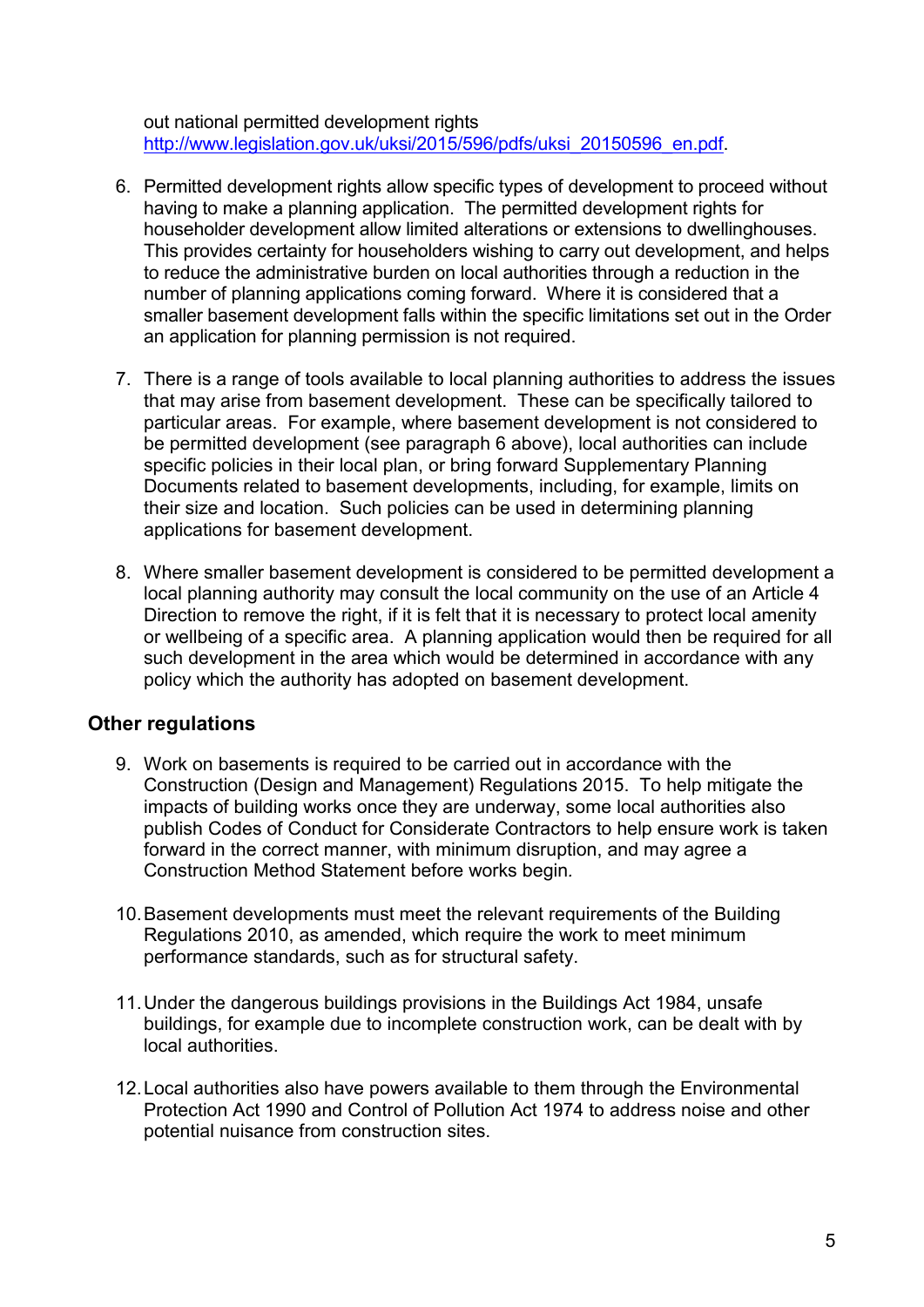out national permitted development rights [http://www.legislation.gov.uk/uksi/2015/596/pdfs/uksi\\_20150596\\_en.pdf.](http://www.legislation.gov.uk/uksi/2015/596/pdfs/uksi_20150596_en.pdf)

- 6. Permitted development rights allow specific types of development to proceed without having to make a planning application. The permitted development rights for householder development allow limited alterations or extensions to dwellinghouses. This provides certainty for householders wishing to carry out development, and helps to reduce the administrative burden on local authorities through a reduction in the number of planning applications coming forward. Where it is considered that a smaller basement development falls within the specific limitations set out in the Order an application for planning permission is not required.
- 7. There is a range of tools available to local planning authorities to address the issues that may arise from basement development. These can be specifically tailored to particular areas. For example, where basement development is not considered to be permitted development (see paragraph 6 above), local authorities can include specific policies in their local plan, or bring forward Supplementary Planning Documents related to basement developments, including, for example, limits on their size and location. Such policies can be used in determining planning applications for basement development.
- 8. Where smaller basement development is considered to be permitted development a local planning authority may consult the local community on the use of an Article 4 Direction to remove the right, if it is felt that it is necessary to protect local amenity or wellbeing of a specific area. A planning application would then be required for all such development in the area which would be determined in accordance with any policy which the authority has adopted on basement development.

#### **Other regulations**

- 9. Work on basements is required to be carried out in accordance with the Construction (Design and Management) Regulations 2015. To help mitigate the impacts of building works once they are underway, some local authorities also publish Codes of Conduct for Considerate Contractors to help ensure work is taken forward in the correct manner, with minimum disruption, and may agree a Construction Method Statement before works begin*.*
- 10.Basement developments must meet the relevant requirements of the Building Regulations 2010, as amended, which require the work to meet minimum performance standards, such as for structural safety.
- 11.Under the dangerous buildings provisions in the Buildings Act 1984, unsafe buildings, for example due to incomplete construction work, can be dealt with by local authorities.
- 12.Local authorities also have powers available to them through the Environmental Protection Act 1990 and Control of Pollution Act 1974 to address noise and other potential nuisance from construction sites.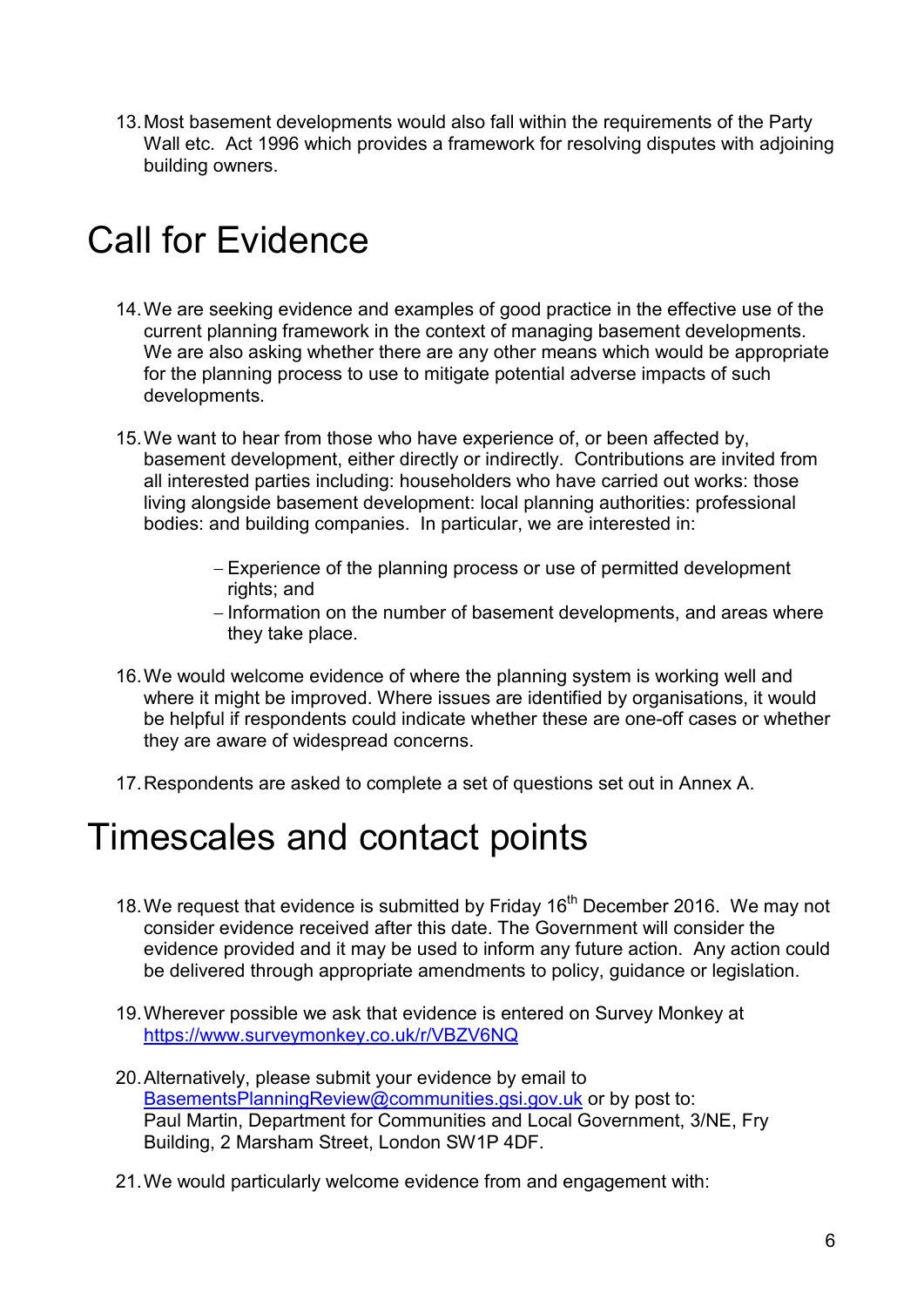13.Most basement developments would also fall within the requirements of the Party Wall etc. Act 1996 which provides a framework for resolving disputes with adjoining building owners.

# <span id="page-5-0"></span>Call for Evidence

- 14.We are seeking evidence and examples of good practice in the effective use of the current planning framework in the context of managing basement developments. We are also asking whether there are any other means which would be appropriate for the planning process to use to mitigate potential adverse impacts of such developments.
- 15.We want to hear from those who have experience of, or been affected by, basement development, either directly or indirectly. Contributions are invited from all interested parties including: householders who have carried out works: those living alongside basement development: local planning authorities: professional bodies: and building companies. In particular, we are interested in:
	- − Experience of the planning process or use of permitted development rights; and
	- − Information on the number of basement developments, and areas where they take place.
- 16.We would welcome evidence of where the planning system is working well and where it might be improved. Where issues are identified by organisations, it would be helpful if respondents could indicate whether these are one-off cases or whether they are aware of widespread concerns.
- 17.Respondents are asked to complete a set of questions set out in Annex A.

### <span id="page-5-1"></span>Timescales and contact points

- 18. We request that evidence is submitted by Friday 16<sup>th</sup> December 2016. We may not consider evidence received after this date. The Government will consider the evidence provided and it may be used to inform any future action. Any action could be delivered through appropriate amendments to policy, guidance or legislation.
- 19.Wherever possible we ask that evidence is entered on Survey Monkey at <https://www.surveymonkey.co.uk/r/VBZV6NQ>
- 20.Alternatively, please submit your evidence by email to [BasementsPlanningReview@communities.gsi.gov.uk](mailto:BasementsPlanningReview@communities.gsi.gov.uk) or by post to: Paul Martin, Department for Communities and Local Government, 3/NE, Fry Building, 2 Marsham Street, London SW1P 4DF.
- 21.We would particularly welcome evidence from and engagement with: